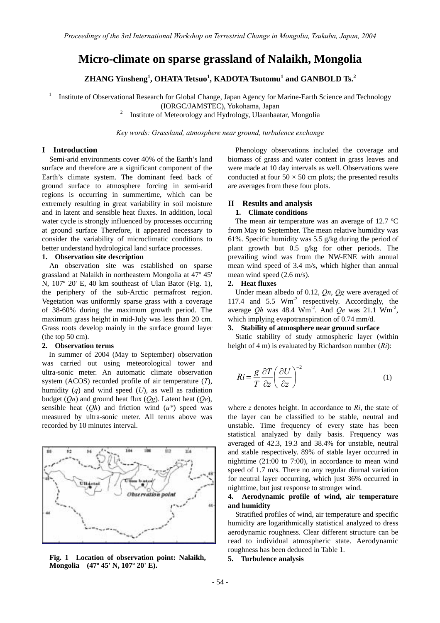# **Micro-climate on sparse grassland of Nalaikh, Mongolia**

**ZHANG Yinsheng<sup>1</sup> , OHATA Tetsuo<sup>1</sup> , KADOTA Tsutomu<sup>1</sup> and GANBOLD Ts.<sup>2</sup>**

1 Institute of Observational Research for Global Change, Japan Agency for Marine-Earth Science and Technology

(IORGC/JAMSTEC), Yokohama, Japan 2

Institute of Meteorology and Hydrology, Ulaanbaatar, Mongolia

*Key words: Grassland, atmosphere near ground, turbulence exchange* 

# **I Introduction**

Semi-arid environments cover 40% of the Earth's land surface and therefore are a significant component of the Earth's climate system. The dominant feed back of ground surface to atmosphere forcing in semi-arid regions is occurring in summertime, which can be extremely resulting in great variability in soil moisture and in latent and sensible heat fluxes. In addition, local water cycle is strongly influenced by processes occurring at ground surface Therefore, it appeared necessary to consider the variability of microclimatic conditions to better understand hydrological land surface processes.

#### **1. Observation site description**

An observation site was established on sparse grassland at Nalaikh in northeastern Mongolia at 47º 45' N, 107º 20' E, 40 km southeast of Ulan Bator (Fig. 1), the periphery of the sub-Arctic permafrost region. Vegetation was uniformly sparse grass with a coverage of 38-60% during the maximum growth period. The maximum grass height in mid-July was less than 20 cm. Grass roots develop mainly in the surface ground layer (the top 50 cm).

# **2. Observation terms**

In summer of 2004 (May to September) observation was carried out using meteorological tower and ultra-sonic meter. An automatic climate observation system (ACOS) recorded profile of air temperature (*T*), humidity (*q*) and wind speed (*U*), as well as radiation budget (*Qn*) and ground heat flux (*Qg*). Latent heat (*Qe*), sensible heat (*Qh*) and friction wind (*u\**) speed was measured by ultra-sonic meter. All terms above was recorded by 10 minutes interval.



**Fig 5. Turbulence analysis . 1 Location of observation point: Nalaikh, Mongolia (47º 45' N, 107º 20' E).** 

Phenology observations included the coverage and biomass of grass and water content in grass leaves and were made at 10 day intervals as well. Observations were conducted at four  $50 \times 50$  cm plots; the presented results are averages from these four plots.

#### **II Results and analysis**

### **1. Climate conditions**

The mean air temperature was an average of 12.7 ºC from May to September. The mean relative humidity was 61%. Specific humidity was 5.5 g/kg during the period of plant growth but 0.5 g/kg for other periods. The prevailing wind was from the NW-ENE with annual mean wind speed of 3.4 m/s, which higher than annual mean wind speed (2.6 m/s).

#### **2. Heat fluxes**

Under mean albedo of 0.12, *Qn*, *Qg* were averaged of 117.4 and  $5.5 \text{ Wm}^2$  respectively. Accordingly, the average *Qh* was 48.4 Wm-2. And *Qe* was 21.1 Wm-2, which implying evapotranspiration of 0.74 mm/d.

### **3. Stability of atmosphere near ground surface**

Static stability of study atmospheric layer (within height of 4 m) is evaluated by Richardson number (*Ri*):

$$
Ri = \frac{g}{T} \frac{\partial T}{\partial z} \left( \frac{\partial U}{\partial z} \right)^{-2}
$$
 (1)

where *z* denotes height. In accordance to *Ri*, the state of the layer can be classified to be stable, neutral and unstable. Time frequency of every state has been statistical analyzed by daily basis. Frequency was averaged of 42.3, 19.3 and 38.4% for unstable, neutral and stable respectively. 89% of stable layer occurred in nighttime (21:00 to 7:00), in accordance to mean wind speed of 1.7 m/s. There no any regular diurnal variation for neutral layer occurring, which just 36% occurred in nighttime, but just response to stronger wind.

# **4. Aerodynamic profile of wind, air temperature and humidity**

Stratified profiles of wind, air temperature and specific humidity are logarithmically statistical analyzed to dress aerodynamic roughness. Clear different structure can be read to individual atmospheric state. Aerodynamic roughness has been deduced in Table 1.